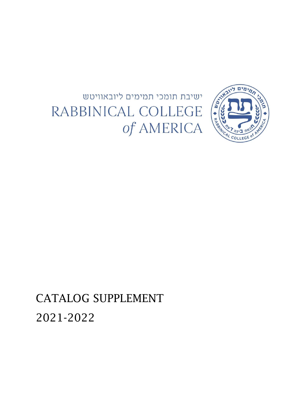



CATALOG SUPPLEMENT 2021-2022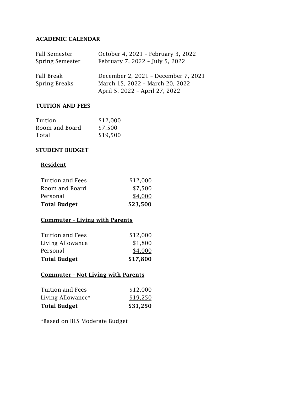## **ACADEMIC CALENDAR**

| Fall Semester               | October 4, 2021 - February 3, 2022                                                                       |
|-----------------------------|----------------------------------------------------------------------------------------------------------|
| Spring Semester             | February 7, 2022 - July 5, 2022                                                                          |
| Fall Break<br>Spring Breaks | December 2, 2021 - December 7, 2021<br>March 15, 2022 - March 20, 2022<br>April 5, 2022 - April 27, 2022 |

#### **TUITION AND FEES**

| Tuition        | \$12,000 |
|----------------|----------|
| Room and Board | \$7,500  |
| Total          | \$19,500 |

#### **STUDENT BUDGET**

# **Resident**

| <b>Tuition and Fees</b><br>Room and Board | \$12,000<br>\$7,500 |
|-------------------------------------------|---------------------|
| Personal                                  | \$4,000             |
| <b>Total Budget</b>                       | \$23,500            |

# **Commuter - Living with Parents**

| <b>Total Budget</b>     | \$17,800 |
|-------------------------|----------|
| Personal                | \$4,000  |
| Living Allowance        | \$1,800  |
| <b>Tuition and Fees</b> | \$12,000 |

## **Commuter - Not Living with Parents**

| \$31,250 |
|----------|
| \$19,250 |
| \$12,000 |
|          |

\*Based on BLS Moderate Budget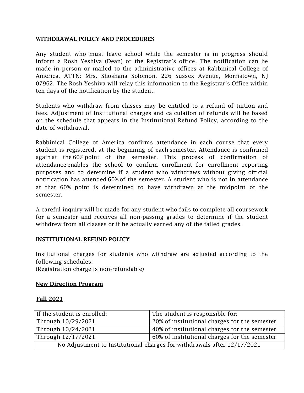#### **WITHDRAWAL POLICY AND PROCEDURES**

Any student who must leave school while the semester is in progress should inform a Rosh Yeshiva (Dean) or the Registrar's office. The notification can be made in person or mailed to the administrative offices at Rabbinical College of America, ATTN: Mrs. Shoshana Solomon, 226 Sussex Avenue, Morristown, NJ 07962. The Rosh Yeshiva will relay this information to the Registrar's Office within ten days of the notification by the student.

Students who withdraw from classes may be entitled to a refund of tuition and fees. Adjustment of institutional charges and calculation of refunds will be based on the schedule that appears in the Institutional Refund Policy, according to the date of withdrawal.

Rabbinical College of America confirms attendance in each course that every student is registered, at the beginning of each semester. Attendance is confirmed again at the 60% point of the semester. This process of confirmation of attendance enables the school to confirm enrollment for enrollment reporting purposes and to determine if a student who withdraws without giving official notification has attended 60% of the semester. A student who is not in attendance at that 60% point is determined to have withdrawn at the midpoint of the semester.

A careful inquiry will be made for any student who fails to complete all coursework for a semester and receives all non-passing grades to determine if the student withdrew from all classes or if he actually earned any of the failed grades.

#### **INSTITUTIONAL REFUND POLICY**

Institutional charges for students who withdraw are adjusted according to the following schedules:

(Registration charge is non-refundable)

#### **New Direction Program**

#### **Fall 2021**

| If the student is enrolled:                                             | The student is responsible for:               |
|-------------------------------------------------------------------------|-----------------------------------------------|
| Through 10/29/2021                                                      | 20% of institutional charges for the semester |
| Through 10/24/2021                                                      | 40% of institutional charges for the semester |
| Through 12/17/2021                                                      | 60% of institutional charges for the semester |
| No Adjustment to Institutional charges for withdrawals after 12/17/2021 |                                               |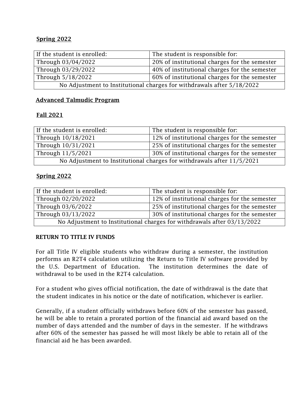## **Spring 2022**

| If the student is enrolled:                                            | The student is responsible for:               |
|------------------------------------------------------------------------|-----------------------------------------------|
| Through 03/04/2022                                                     | 20% of institutional charges for the semester |
| Through 03/29/2022                                                     | 40% of institutional charges for the semester |
| Through 5/18/2022                                                      | 60% of institutional charges for the semester |
| No Adjustment to Institutional charges for withdrawals after 5/18/2022 |                                               |

## **Advanced Talmudic Program**

## **Fall 2021**

| If the student is enrolled:                                            | The student is responsible for:               |
|------------------------------------------------------------------------|-----------------------------------------------|
| Through 10/18/2021                                                     | 12% of institutional charges for the semester |
| Through 10/31/2021                                                     | 25% of institutional charges for the semester |
| Through 11/5/2021                                                      | 30% of institutional charges for the semester |
| No Adjustment to Institutional charges for withdrawals after 11/5/2021 |                                               |

## **Spring 2022**

| If the student is enrolled:                                             | The student is responsible for:               |
|-------------------------------------------------------------------------|-----------------------------------------------|
| Through 02/20/2022                                                      | 12% of institutional charges for the semester |
| Through 03/6/2022                                                       | 25% of institutional charges for the semester |
| Through 03/13/2022                                                      | 30% of institutional charges for the semester |
| No Adjustment to Institutional charges for withdrawals after 03/13/2022 |                                               |

## **RETURN TO TITLE IV FUNDS**

For all Title IV eligible students who withdraw during a semester, the institution performs an R2T4 calculation utilizing the Return to Title IV software provided by the U.S. Department of Education. The institution determines the date of withdrawal to be used in the R2T4 calculation.

For a student who gives official notification, the date of withdrawal is the date that the student indicates in his notice or the date of notification, whichever is earlier.

Generally, if a student officially withdraws before 60% of the semester has passed, he will be able to retain a prorated portion of the financial aid award based on the number of days attended and the number of days in the semester. If he withdraws after 60% of the semester has passed he will most likely be able to retain all of the financial aid he has been awarded.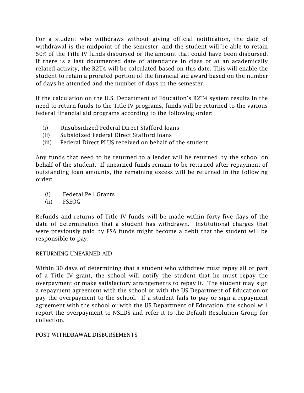For a student who withdraws without giving official notification, the date of withdrawal is the midpoint of the semester, and the student will be able to retain 50% of the Title IV funds disbursed or the amount that could have been disbursed. If there is a last documented date of attendance in class or at an academically related activity, the R2T4 will be calculated based on this date. This will enable the student to retain a prorated portion of the financial aid award based on the number of days he attended and the number of days in the semester.

If the calculation on the U.S. Department of Education's R2T4 system results in the need to return funds to the Title IV programs, funds will be returned to the various federal financial aid programs according to the following order:

- (i) Unsubsidized Federal Direct Stafford loans
- (ii) Subsidized Federal Direct Stafford loans
- (iii) Federal Direct PLUS received on behalf of the student

Any funds that need to be returned to a lender will be returned by the school on behalf of the student. If unearned funds remain to be returned after repayment of outstanding loan amounts, the remaining excess will be returned in the following order:

- (i) Federal Pell Grants
- (ii) FSEOG

Refunds and returns of Title IV funds will be made within forty-five days of the date of determination that a student has withdrawn. Institutional charges that were previously paid by FSA funds might become a debit that the student will be responsible to pay.

## RETURNING UNEARNED AID

Within 30 days of determining that a student who withdrew must repay all or part of a Title IV grant, the school will notify the student that he must repay the overpayment or make satisfactory arrangements to repay it. The student may sign a repayment agreement with the school or with the US Department of Education or pay the overpayment to the school. If a student fails to pay or sign a repayment agreement with the school or with the US Department of Education, the school will report the overpayment to NSLDS and refer it to the Default Resolution Group for collection.

## POST WITHDRAWAL DISBURSEMENTS